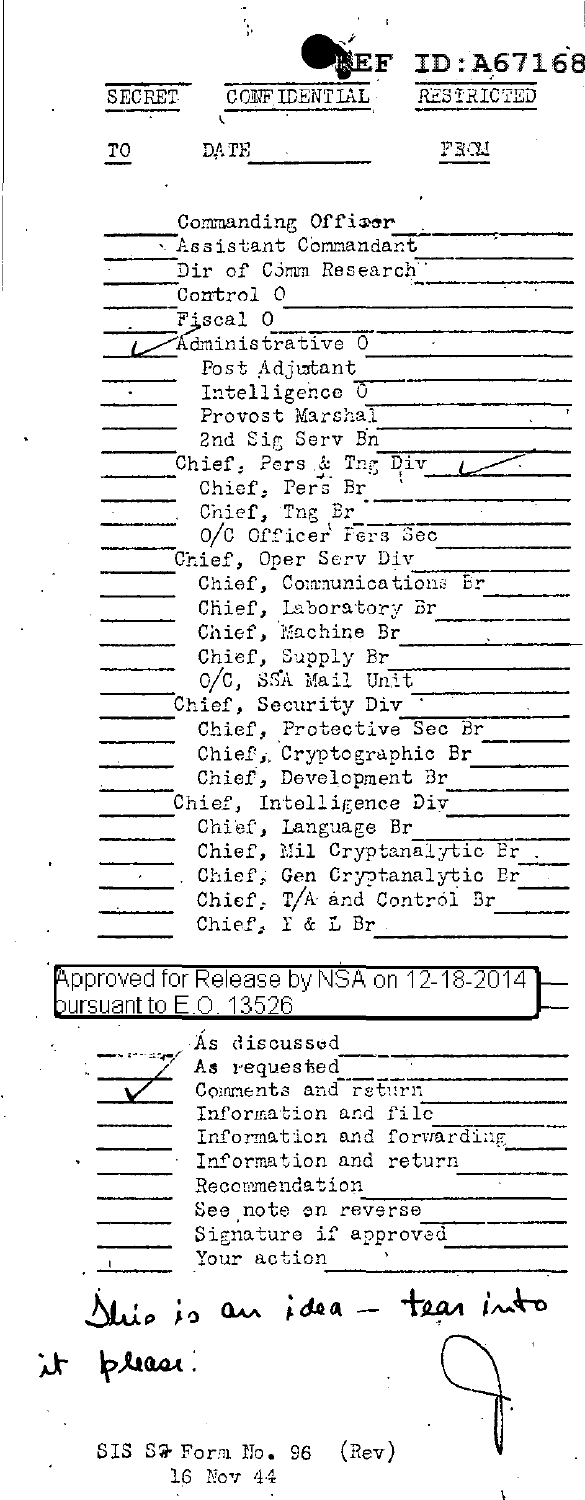| ļ,                                                |
|---------------------------------------------------|
| ID:A67168                                         |
| RESTRICTED<br>CONFIDENTIAL<br>SECRET              |
| PROU<br>DA TE                                     |
| TO                                                |
|                                                   |
| Commanding Offiser<br>Assistant Commandant        |
| Dir of C5mm Research                              |
| Control 0                                         |
| Fiscal O                                          |
| Administrative 0                                  |
| Post Adjutant<br>Intelligence 0                   |
| Provost Marshal                                   |
| 2nd Sig Serv Bn                                   |
| Chief, Pers & Tng Div                             |
| Chief, Pers Br<br>Chief, Tng Br                   |
| 0/C Officer Fers Sec                              |
| Chief, Oper Serv Div                              |
| Chief, Communications Br                          |
| Chief, Laboratory Br                              |
| Chief, Machine Br<br>Chief, Supply Br             |
| O/C, SSA Mail Unit                                |
| Chief, Security Div                               |
| Chief, Protective Sec Br                          |
| Chief, Cryptographic Br                           |
| Chief, Development Br                             |
| Chief, Intelligence Diy                           |
| Chief, Language Br<br>Chief, Mil Cryptanalytic Br |
| Chief, Gen Cryptanalytic Br                       |
| Chief, T/A and Control Br                         |
| Chief, I & L Br                                   |
|                                                   |
| Approved for Release by NSA on 12-18-2014         |
| pursuant to E.O. 13526                            |
| As discussed                                      |
| As requested<br>Comments and return               |
| Information and file                              |
| Information and forwarding                        |
| Information and return                            |
| Recommendation                                    |
| See note on reverse<br>Signature if approved      |
| Your action                                       |
|                                                   |
| llio is an idea - tear into                       |
|                                                   |
| please.<br>$\lambda$                              |
|                                                   |
|                                                   |
| SIS S& Form No. 96 (Rev)                          |
| 16 Nov 44                                         |